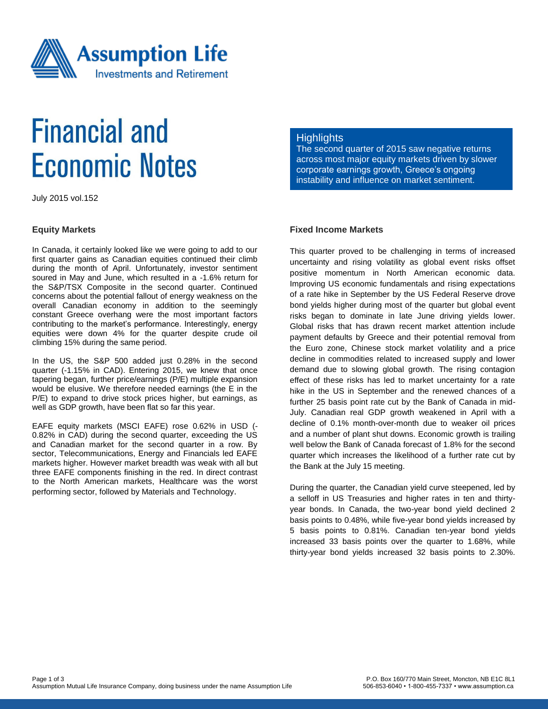

# **Financial and Economic Notes**

July 2015 vol.152

#### **Equity Markets**

In Canada, it certainly looked like we were going to add to our first quarter gains as Canadian equities continued their climb during the month of April. Unfortunately, investor sentiment soured in May and June, which resulted in a -1.6% return for the S&P/TSX Composite in the second quarter. Continued concerns about the potential fallout of energy weakness on the overall Canadian economy in addition to the seemingly constant Greece overhang were the most important factors contributing to the market's performance. Interestingly, energy equities were down 4% for the quarter despite crude oil climbing 15% during the same period.

In the US, the S&P 500 added just 0.28% in the second quarter (-1.15% in CAD). Entering 2015, we knew that once tapering began, further price/earnings (P/E) multiple expansion would be elusive. We therefore needed earnings (the E in the P/E) to expand to drive stock prices higher, but earnings, as well as GDP growth, have been flat so far this year.

EAFE equity markets (MSCI EAFE) rose 0.62% in USD (- 0.82% in CAD) during the second quarter, exceeding the US and Canadian market for the second quarter in a row. By sector, Telecommunications, Energy and Financials led EAFE markets higher. However market breadth was weak with all but three EAFE components finishing in the red. In direct contrast to the North American markets, Healthcare was the worst performing sector, followed by Materials and Technology.

### **Highlights**

The second quarter of 2015 saw negative returns across most major equity markets driven by slower corporate earnings growth, Greece's ongoing instability and influence on market sentiment.

## **Fixed Income Markets**

This quarter proved to be challenging in terms of increased uncertainty and rising volatility as global event risks offset positive momentum in North American economic data. Improving US economic fundamentals and rising expectations of a rate hike in September by the US Federal Reserve drove bond yields higher during most of the quarter but global event risks began to dominate in late June driving yields lower. Global risks that has drawn recent market attention include payment defaults by Greece and their potential removal from the Euro zone, Chinese stock market volatility and a price decline in commodities related to increased supply and lower demand due to slowing global growth. The rising contagion effect of these risks has led to market uncertainty for a rate hike in the US in September and the renewed chances of a further 25 basis point rate cut by the Bank of Canada in mid-July. Canadian real GDP growth weakened in April with a decline of 0.1% month-over-month due to weaker oil prices and a number of plant shut downs. Economic growth is trailing well below the Bank of Canada forecast of 1.8% for the second quarter which increases the likelihood of a further rate cut by the Bank at the July 15 meeting.

During the quarter, the Canadian yield curve steepened, led by a selloff in US Treasuries and higher rates in ten and thirtyyear bonds. In Canada, the two-year bond yield declined 2 basis points to 0.48%, while five-year bond yields increased by 5 basis points to 0.81%. Canadian ten-year bond yields increased 33 basis points over the quarter to 1.68%, while thirty-year bond yields increased 32 basis points to 2.30%.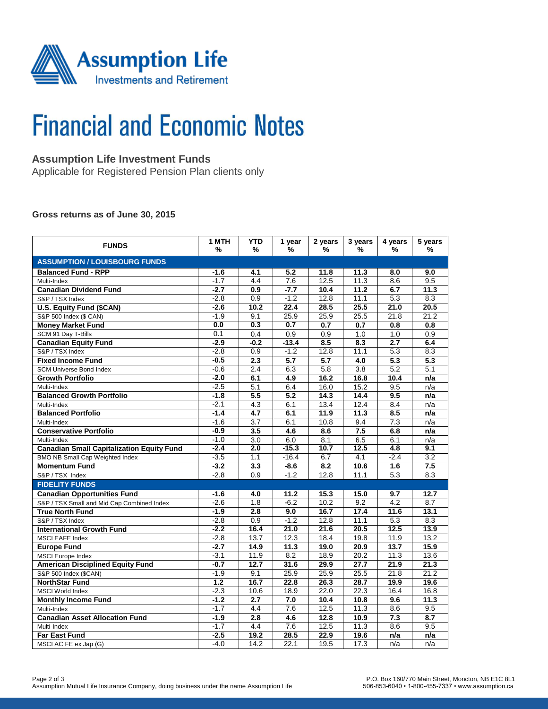

# **Financial and Economic Notes**

# **Assumption Life Investment Funds**

Applicable for Registered Pension Plan clients only

#### **Gross returns as of June 30, 2015**

| <b>FUNDS</b>                                     | 1 MTH<br>%       | <b>YTD</b><br>%  | 1 year<br>%      | 2 years<br>%     | 3 years<br>% | 4 years<br>%     | 5 years<br>%     |  |  |  |
|--------------------------------------------------|------------------|------------------|------------------|------------------|--------------|------------------|------------------|--|--|--|
| <b>ASSUMPTION / LOUISBOURG FUNDS</b>             |                  |                  |                  |                  |              |                  |                  |  |  |  |
| <b>Balanced Fund - RPP</b>                       | $-1.6$           | 4.1              | 5.2              | 11.8             | 11.3         | 8.0              | 9.0              |  |  |  |
| Multi-Index                                      | $-1.7$           | $\overline{4.4}$ | 7.6              | 12.5             | 11.3         | 8.6              | 9.5              |  |  |  |
| <b>Canadian Dividend Fund</b>                    | $-2.7$           | 0.9              | $-7.7$           | 10.4             | 11.2         | 6.7              | 11.3             |  |  |  |
| S&P / TSX Index                                  | $-2.8$           | 0.9              | $-1.2$           | 12.8             | 11.1         | $\overline{5.3}$ | 8.3              |  |  |  |
| <b>U.S. Equity Fund (\$CAN)</b>                  | $-2.6$           | 10.2             | 22.4             | 28.5             | 25.5         | 21.0             | 20.5             |  |  |  |
| S&P 500 Index (\$ CAN)                           | $-1.9$           | 9.1              | 25.9             | 25.9             | 25.5         | 21.8             | 21.2             |  |  |  |
| <b>Money Market Fund</b>                         | 0.0              | 0.3              | 0.7              | 0.7              | 0.7          | 0.8              | 0.8              |  |  |  |
| SCM 91 Day T-Bills                               | 0.1              | 0.4              | 0.9              | 0.9              | 1.0          | 1.0              | 0.9              |  |  |  |
| <b>Canadian Equity Fund</b>                      | $-2.9$           | $-0.2$           | $-13.4$          | 8.5              | 8.3          | 2.7              | 6.4              |  |  |  |
| S&P / TSX Index                                  | $-2.8$           | 0.9              | $-1.2$           | 12.8             | 11.1         | 5.3              | 8.3              |  |  |  |
| <b>Fixed Income Fund</b>                         | $-0.5$           | $\overline{2.3}$ | $\overline{5.7}$ | $\overline{5.7}$ | 4.0          | $\overline{5.3}$ | $\overline{5.3}$ |  |  |  |
| <b>SCM Universe Bond Index</b>                   | $-0.6$           | 2.4              | 6.3              | $\overline{5.8}$ | 3.8          | $\overline{5.2}$ | 5.1              |  |  |  |
| <b>Growth Portfolio</b>                          | $-2.0$           | 6.1              | 4.9              | 16.2             | 16.8         | 10.4             | n/a              |  |  |  |
| Multi-Index                                      | $-2.5$           | 5.1              | 6.4              | 16.0             | 15.2         | 9.5              | n/a              |  |  |  |
| <b>Balanced Growth Portfolio</b>                 | $-1.8$           | $\overline{5.5}$ | 5.2              | 14.3             | 14.4         | 9.5              | n/a              |  |  |  |
| Multi-Index                                      | $-2.1$           | 4.3              | 6.1              | 13.4             | 12.4         | 8.4              | n/a              |  |  |  |
| <b>Balanced Portfolio</b>                        | $-1.4$           | 4.7              | 6.1              | 11.9             | 11.3         | 8.5              | n/a              |  |  |  |
| Multi-Index                                      | $-1.6$           | 3.7              | 6.1              | 10.8             | 9.4          | 7.3              | n/a              |  |  |  |
| <b>Conservative Portfolio</b>                    | $-0.9$           | 3.5              | 4.6              | 8.6              | 7.5          | 6.8              | n/a              |  |  |  |
| Multi-Index                                      | $-1.0$           | 3.0              | 6.0              | 8.1              | 6.5          | 6.1              | n/a              |  |  |  |
| <b>Canadian Small Capitalization Equity Fund</b> | $-2.4$           | $\overline{2.0}$ | $-15.3$          | 10.7             | 12.5         | $\overline{4.8}$ | 9.1              |  |  |  |
| BMO NB Small Cap Weighted Index                  | $-3.5$           | 1.1              | $-16.4$          | 6.7              | 4.1          | $-2.4$           | 3.2              |  |  |  |
| <b>Momentum Fund</b>                             | $-3.2$           | $\overline{3.3}$ | $-8.6$           | 8.2              | 10.6         | 1.6              | 7.5              |  |  |  |
| S&P / TSX Index                                  | $-2.8$           | 0.9              | $-1.2$           | 12.8             | 11.1         | 5.3              | 8.3              |  |  |  |
| <b>FIDELITY FUNDS</b>                            |                  |                  |                  |                  |              |                  |                  |  |  |  |
| <b>Canadian Opportunities Fund</b>               | $-1.6$           | 4.0              | 11.2             | 15.3             | 15.0         | 9.7              | 12.7             |  |  |  |
| S&P / TSX Small and Mid Cap Combined Index       | $-2.6$           | 1.8              | $-6.2$           | 10.2             | 9.2          | 4.2              | 8.7              |  |  |  |
| <b>True North Fund</b>                           | $-1.9$           | 2.8              | 9.0              | 16.7             | 17.4         | 11.6             | 13.1             |  |  |  |
| S&P / TSX Index                                  | $-2.8$           | 0.9              | $-1.2$           | 12.8             | 11.1         | 5.3              | 8.3              |  |  |  |
| <b>International Growth Fund</b>                 | $-2.2$           | 16.4             | 21.0             | 21.6             | 20.5         | 12.5             | 13.9             |  |  |  |
| <b>MSCI EAFE Index</b>                           | $-2.8$           | 13.7             | 12.3             | 18.4             | 19.8         | 11.9             | 13.2             |  |  |  |
| <b>Europe Fund</b>                               | $-2.7$           | 14.9             | 11.3             | 19.0             | 20.9         | 13.7             | 15.9             |  |  |  |
| <b>MSCI</b> Europe Index                         | $-3.1$           | 11.9             | 8.2              | 18.9             | 20.2         | 11.3             | 13.6             |  |  |  |
| <b>American Disciplined Equity Fund</b>          | $-0.7$           | 12.7             | 31.6             | 29.9             | 27.7         | 21.9             | 21.3             |  |  |  |
| S&P 500 Index (\$CAN)                            | $-1.9$           | 9.1              | 25.9             | 25.9             | 25.5         | 21.8             | 21.2             |  |  |  |
| <b>NorthStar Fund</b>                            | $\overline{1.2}$ | 16.7             | 22.8             | 26.3             | 28.7         | 19.9             | 19.6             |  |  |  |
| <b>MSCI World Index</b>                          | $-2.3$           | 10.6             | 18.9             | 22.0             | 22.3         | 16.4             | 16.8             |  |  |  |
| <b>Monthly Income Fund</b>                       | $-1.2$           | 2.7              | 7.0              | 10.4             | 10.8         | 9.6              | 11.3             |  |  |  |
| Multi-Index                                      | $-1.7$           | 4.4              | 7.6              | 12.5             | 11.3         | 8.6              | 9.5              |  |  |  |
| <b>Canadian Asset Allocation Fund</b>            | $-1.9$           | 2.8              | 4.6              | 12.8             | 10.9         | 7.3              | 8.7              |  |  |  |
| Multi-Index                                      | $-1.7$           | 4.4              | 7.6              | 12.5             | 11.3         | 8.6              | 9.5              |  |  |  |
| <b>Far East Fund</b>                             | $-2.5$           | 19.2             | 28.5             | 22.9             | 19.6         | n/a              | n/a              |  |  |  |
| MSCI AC FE ex Jap (G)                            | $-4.0$           | 14.2             | 22.1             | 19.5             | 17.3         | $\overline{n}/a$ | n/a              |  |  |  |